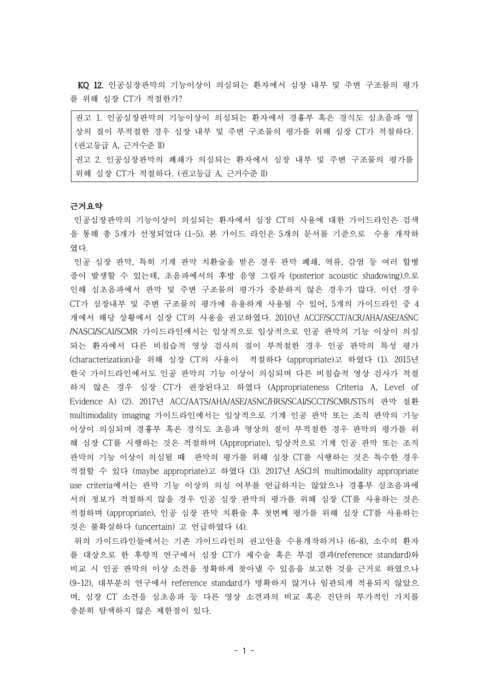KQ 12. 인공심장판막의 기능이상이 의심되는 환자에서 심장 내부 및 주변 구조물의 평가 를 위해 심장 CT가 적절한가?

권고 1. 인공심장판막의 기능이상이 의심되는 환자에서 경흉부 혹은 경식도 심초음파 영 상의 질이 부적절한 경우 심장 내부 및 주변 구조물의 평가를 위해 심장 CT가 적절하다. (권고등급 A, 근거수준 II) 권고 2. 인공심장판막의 폐쇄가 의심되는 환자에서 심장 내부 및 주변 구조물의 평가를 위해 심장 CT가 적절하다. (권고등급 A, 근거수준 II)

#### 근거요약

인공심장판막의 기능이상이 의심되는 환자에서 심장 CT의 사용에 대한 가이드라인은 검색 을 통해 총 5개가 선정되었다 (1-5). 본 가이드 라인은 5개의 문서를 기준으로 수용 개작하 였다.

인공 심장 판막, 특히 기계 판막 치환술을 받은 경우 판막 폐쇄, 역류, 감염 등 여러 합병 증이 발생할 수 있는데, 초음파에서의 후방 음영 그림자 (posterior acoustic shadowing)으로 인해 심초음파에서 판막 및 주변 구조물의 평가가 충분하지 않은 경우가 많다. 이런 경우 CT가 심장내부 및 주변 구조물의 평가에 유용하게 사용될 수 있어, 5개의 가이드라인 중 4 개에서 해당 상황에서 심장 CT의 사용을 권고하였다. 2010년 ACCF/SCCT/ACR/AHA/ASE/ASNC /NASCI/SCAI/SCMR 가이드라인에서는 임상적으로 임상적으로 인공 판막의 기능 이상이 의심 되는 환자에서 다른 비침습적 영상 검사의 질이 부적절한 경우 인공 판막의 특성 평가 (characterization)을 위해 심장 CT의 사용이 적절하다 (appropriate)고 하였다 (1). 2015년 한국 가이드라인에서도 인공 판막의 기능 이상이 의심되며 다른 비침습적 영상 검사가 적절 하지 않은 경우 심장 CT가 권장된다고 하였다 (Appropriateness Criteria A, Level of Evidence A) (2). 2017년 ACC/AATS/AHA/ASE/ASNC/HRS/SCAI/SCCT/SCMR/STS의 판막 질환 multimodality imaging 가이드라인에서는 임상적으로 기계 인공 판막 또는 조직 판막의 기능 이상이 의심되며 경흉부 혹은 경식도 초음파 영상의 질이 부적절한 경우 판막의 평가를 위 해 심장 CT를 시행하는 것은 적절하며 (Appropriate), 임상적으로 기계 인공 판막 또는 조직 판막의 기능 이상이 의심될 때 판막의 평가를 위해 심장 CT를 시행하는 것은 특수한 경우 적절할 수 있다 (maybe appropriate)고 하였다 (3). 2017년 ASCI의 multimodality appropriate use criteria에서는 판막 기능 이상의 의심 여부를 언급하지는 않았으나 경흉부 심초음파에 서의 정보가 적절하지 않을 경우 인공 심장 판막의 평가를 위해 심장 CT를 사용하는 것은 적절하며 (appropriate), 인공 심장 판막 치환술 후 첫번째 평가를 위해 심장 CT를 사용하는 것은 불확실하다 (uncertain) 고 언급하였다 (4).

위의 가이드라인들에서는 기존 가이드라인의 권고안을 수용개작하거나 (6-8), 소수의 환자 를 대상으로 한 후향적 연구에서 심장 CT가 재수술 혹은 부검 결과(reference standard)와 비교 시 인공 판막의 이상 소견을 정확하게 찾아낼 수 있음을 보고한 것을 근거로 하였으나 (9-12), 대부분의 연구에서 reference standard가 명확하지 않거나 일관되게 적용되지 않았으 며, 심장 CT 소견을 심초음파 등 다른 영상 소견과의 비교 혹은 진단의 부가적인 가치를 충분히 탐색하지 않은 제한점이 있다.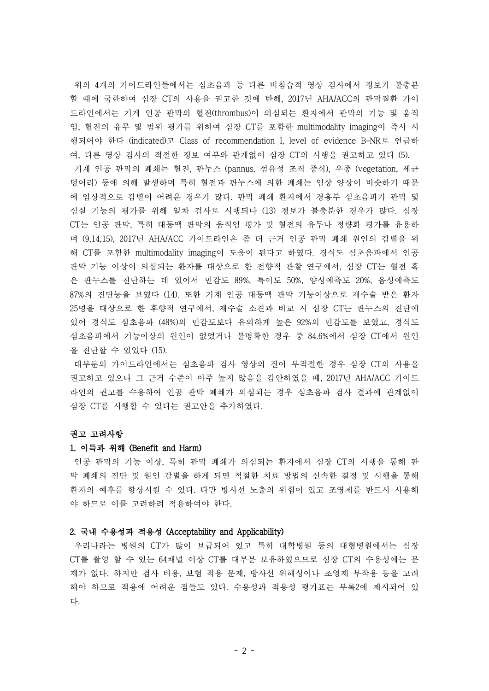위의 4개의 가이드라인들에서는 심초음파 등 다른 비침습적 영상 검사에서 정보가 불충분 할 때에 국한하여 심장 CT의 사용을 권고한 것에 반해, 2017년 AHA/ACC의 판막질환 가이 드라인에서는 기계 인공 판막의 혈전(thrombus)이 의심되는 환자에서 판막의 기능 및 움직 임, 혈전의 유무 및 범위 평가를 위하여 심장 CT를 포함한 multimodality imaging이 즉시 시 행되어야 한다 (indicated)고 Class of recommendation I, level of evidence B-NR로 언급하

여, 다른 영상 검사의 적절한 정보 여부와 관계없이 심장 CT의 시행을 권고하고 있다 (5). 기계 인공 판막의 폐쇄는 혈전, 판누스 (pannus, 섬유성 조직 증식), 우종 (vegetation, 세균 덩어리) 등에 의해 발생하며 특히 혈전과 판누스에 의한 폐쇄는 임상 양상이 비슷하기 때문 에 임상적으로 감별이 어려운 경우가 많다. 판막 폐쇄 환자에서 경흉부 심초음파가 판막 및 심실 기능의 평가를 위해 일차 검사로 시행되나 (13) 정보가 불충분한 경우가 많다. 심장 CT는 인공 판막, 특히 대동맥 판막의 움직임 평가 및 혈전의 유무나 정량화 평가를 유용하 며 (9,14,15), 2017년 AHA/ACC 가이드라인은 좀 더 근거 인공 판막 폐쇄 원인의 감별을 위 해 CT를 포함한 multimodality imaging이 도움이 된다고 하였다. 경식도 심초음파에서 인공 판막 기능 이상이 의심되는 환자를 대상으로 한 전향적 관찰 연구에서, 심장 CT는 혈전 혹 은 판누스를 진단하는 데 있어서 민감도 89%, 특이도 50%, 양성예측도 20%, 음성예측도 87%의 진단능을 보였다 (14). 또한 기계 인공 대동맥 판막 기능이상으로 재수술 받은 환자 25명을 대상으로 한 후향적 연구에서, 재수술 소견과 비교 시 심장 CT는 판누스의 진단에 있어 경식도 심초음파 (48%)의 민감도보다 유의하게 높은 92%의 민감도를 보였고, 경식도 심초음파에서 기능이상의 원인이 없었거나 불명확한 경우 중 84.6%에서 심장 CT에서 원인 을 진단할 수 있었다 (15).

대부분의 가이드라인에서는 심초음파 검사 영상의 질이 부적절한 경우 심장 CT의 사용을 권고하고 있으나 그 근거 수준이 아주 높지 않음을 감안하였을 때, 2017년 AHA/ACC 가이드 라인의 권고를 수용하여 인공 판막 폐쇄가 의심되는 경우 심초음파 검사 결과에 관계없이 심장 CT를 시행할 수 있다는 권고안을 추가하였다.

## 권고 고려사항

## 1. 이득과 위해 (Benefit and Harm)

인공 판막의 기능 이상, 특히 판막 폐쇄가 의심되는 환자에서 심장 CT의 시행을 통해 판 막 폐쇄의 진단 및 원인 감별을 하게 되면 적절한 치료 방법의 신속한 결정 및 시행을 통해 환자의 예후를 향상시킬 수 있다. 다만 방사선 노출의 위험이 있고 조영제를 반드시 사용해 야 하므로 이를 고려하려 적용하여야 한다.

### 2. 국내 수용성과 적용성 (Acceptability and Applicability)

우리나라는 병원의 CT가 많이 보급되어 있고 특히 대학병원 등의 대형병원에서는 심장 CT를 촬영 할 수 있는 64채널 이상 CT를 대부분 보유하였으므로 심장 CT의 수용성에는 문 제가 없다. 하지만 검사 비용, 보험 적용 문제, 방사선 위해성이나 조영제 부작용 등을 고려 해야 하므로 적용에 어려운 점들도 있다. 수용성과 적용성 평가표는 부록2에 제시되어 있 다.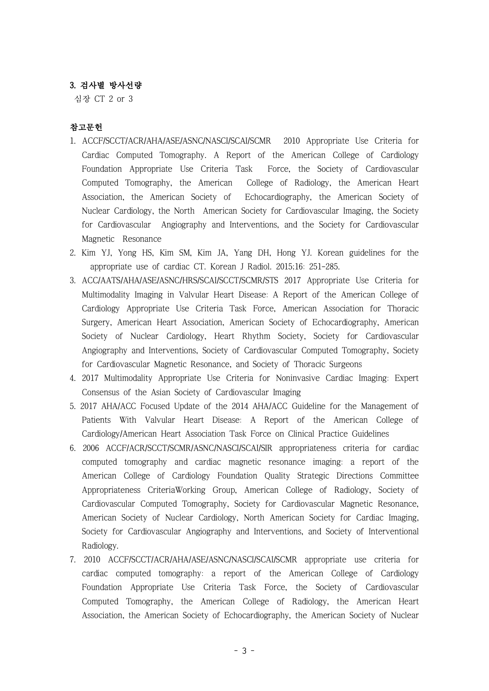# 3. 검사별 방사선량

심장 CT 2 or 3

## 참고문헌

- 1. ACCF/SCCT/ACR/AHA/ASE/ASNC/NASCI/SCAI/SCMR 2010 Appropriate Use Criteria for Cardiac Computed Tomography. A Report of the American College of Cardiology Foundation Appropriate Use Criteria Task Force, the Society of Cardiovascular Computed Tomography, the American College of Radiology, the American Heart Association, the American Society of Echocardiography, the American Society of Nuclear Cardiology, the North American Society for Cardiovascular Imaging, the Society for Cardiovascular Angiography and Interventions, and the Society for Cardiovascular Magnetic Resonance
- 2. Kim YJ, Yong HS, Kim SM, Kim JA, Yang DH, Hong YJ. Korean guidelines for the appropriate use of cardiac CT. Korean J Radiol. 2015;16: 251-285.
- 3. ACC/AATS/AHA/ASE/ASNC/HRS/SCAI/SCCT/SCMR/STS 2017 Appropriate Use Criteria for Multimodality Imaging in Valvular Heart Disease: A Report of the American College of Cardiology Appropriate Use Criteria Task Force, American Association for Thoracic Surgery, American Heart Association, American Society of Echocardiography, American Society of Nuclear Cardiology, Heart Rhythm Society, Society for Cardiovascular Angiography and Interventions, Society of Cardiovascular Computed Tomography, Society for Cardiovascular Magnetic Resonance, and Society of Thoracic Surgeons
- 4. 2017 Multimodality Appropriate Use Criteria for Noninvasive Cardiac Imaging: Expert Consensus of the Asian Society of Cardiovascular Imaging
- 5. 2017 AHA/ACC Focused Update of the 2014 AHA/ACC Guideline for the Management of Patients With Valvular Heart Disease: A Report of the American College of Cardiology/American Heart Association Task Force on Clinical Practice Guidelines
- 6. 2006 ACCF/ACR/SCCT/SCMR/ASNC/NASCI/SCAI/SIR appropriateness criteria for cardiac computed tomography and cardiac magnetic resonance imaging: a report of the American College of Cardiology Foundation Quality Strategic Directions Committee Appropriateness CriteriaWorking Group, American College of Radiology, Society of Cardiovascular Computed Tomography, Society for Cardiovascular Magnetic Resonance, American Society of Nuclear Cardiology, North American Society for Cardiac Imaging, Society for Cardiovascular Angiography and Interventions, and Society of Interventional Radiology.
- 7. 2010 ACCF/SCCT/ACR/AHA/ASE/ASNC/NASCI/SCAI/SCMR appropriate use criteria for cardiac computed tomography: a report of the American College of Cardiology Foundation Appropriate Use Criteria Task Force, the Society of Cardiovascular Computed Tomography, the American College of Radiology, the American Heart Association, the American Society of Echocardiography, the American Society of Nuclear